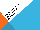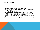## INTRODUCTION

### **Background**

### The rise in UK HE tuition fees as a 'new toll' (Ibrahim, 2011)

- Nationally and locally organised student protests 10th, 24, 30 November and December 9 (2010)
- **At least 23 university occupations**
- These were a direct response to the publication (in October 2010) of the Independent Review of Higher Education Funding and Student Finance, widely known as the Browne Review (after its chair, Lord Browne)

Fees from £3000- (possible) £9000. Also cuts to HE funding from £7.1 billion to 4.2 billion

My argument: moral economy of protest. Explains the grievances and provides the WHY?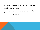#### The politicisation of students on university campuses (Crossley and Ibrahim, 2012)

Analysing the network structure of the university campus

Student activists/ organisations as nodes

What resources facilitate political activity? ( Communication networks, funds/ budgets, rooms, movement around the campus, status as chairs/ or executive) . Network foci: students union, political societies, meetings, demos etc.

Under what conditions is protest possible: HOW?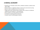# A MORAL ECONOMY

- Drawing on E.P. Thompson notion of M.E., protestors constitute a 'political crowd'. (1971, 1993)
- **Political protest is a negotiation between cultural norms and economic pricing**
- **Based on what is considered fair by 'the community'**
- I argue that the rise in fees are seen as unjust, unfair, a barrier to a traditional entitlement and an assault on moral sentiments
- **EXECT** Action is based on normative political motivations
- No (effective) mediating political institutions
- A student custom to protest against injustice?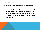### STUDENT CRITIQUE

The moral outrage had been building for some time. Wider ideological critique:

 'as a student seeing the effects of cuts... and more business involvement in university life... universities are being commodified, education is now a commodity (Interview, January 2009, Student R1).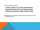A rejection/ disavowal of the system:

# 'I have no faith in any of the parliamentary groups like Labour and the Conservatives' (Interview, December 2009, Student R53).

Moral high ground further raised by other issues: critique of wars, bank bail-outs, and MP expenses scandal.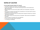## NOTES OF CAUTION

### Is it OK to apply Thompson's ideas to 21<sup>st</sup> century?

- Thompson's analysis of 18<sup>th</sup> Century- pre-capitalist protests
- No free rider problem then. Community could bring sanctions. Communities bound tightly- gemeinshaft
- Markets weaken the moral economy (Sayer, 2000) rise of individualism, rational self interest.
- Can we talk of a student community? Yes, but perhaps not in the same way! No crowd is homogeneous- not even in the 18<sup>th</sup> C
- Not just local and parochial action but national action (students of today rely on national repertoires of contention)
- Sayer (2000) cultural norms and economy not separate. Moral values are embedded in the system
- Have to be aware of reversals of the moral argument:
- I Is it fair that the tax payer pays for education?
- I'm working your protesting!